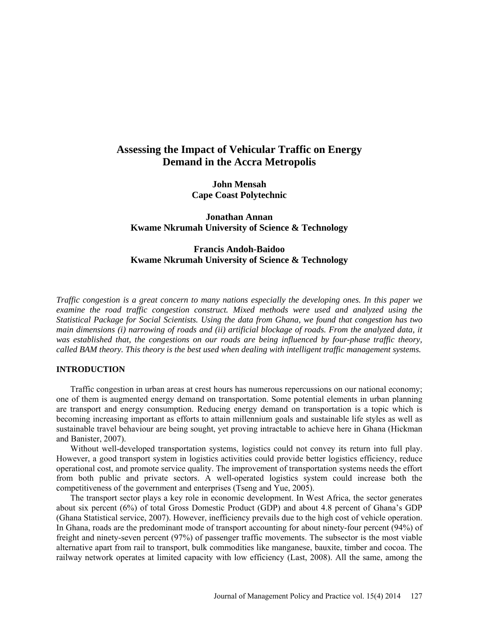# **Assessing the Impact of Vehicular Traffic on Energy Demand in the Accra Metropolis**

**John Mensah Cape Coast Polytechnic** 

**Jonathan Annan Kwame Nkrumah University of Science & Technology**

# **Francis Andoh-Baidoo Kwame Nkrumah University of Science & Technology**

*Traffic congestion is a great concern to many nations especially the developing ones. In this paper we examine the road traffic congestion construct. Mixed methods were used and analyzed using the Statistical Package for Social Scientists. Using the data from Ghana, we found that congestion has two main dimensions (i) narrowing of roads and (ii) artificial blockage of roads. From the analyzed data, it was established that, the congestions on our roads are being influenced by four-phase traffic theory, called BAM theory. This theory is the best used when dealing with intelligent traffic management systems.*

### **INTRODUCTION**

Traffic congestion in urban areas at crest hours has numerous repercussions on our national economy; one of them is augmented energy demand on transportation. Some potential elements in urban planning are transport and energy consumption. Reducing energy demand on transportation is a topic which is becoming increasing important as efforts to attain millennium goals and sustainable life styles as well as sustainable travel behaviour are being sought, yet proving intractable to achieve here in Ghana (Hickman and Banister, 2007).

Without well-developed transportation systems, logistics could not convey its return into full play. However, a good transport system in logistics activities could provide better logistics efficiency, reduce operational cost, and promote service quality. The improvement of transportation systems needs the effort from both public and private sectors. A well-operated logistics system could increase both the competitiveness of the government and enterprises (Tseng and Yue, 2005).

The transport sector plays a key role in economic development. In West Africa, the sector generates about six percent (6%) of total Gross Domestic Product (GDP) and about 4.8 percent of Ghana's GDP (Ghana Statistical service, 2007). However, inefficiency prevails due to the high cost of vehicle operation. In Ghana, roads are the predominant mode of transport accounting for about ninety-four percent (94%) of freight and ninety-seven percent (97%) of passenger traffic movements. The subsector is the most viable alternative apart from rail to transport, bulk commodities like manganese, bauxite, timber and cocoa. The railway network operates at limited capacity with low efficiency (Last, 2008). All the same, among the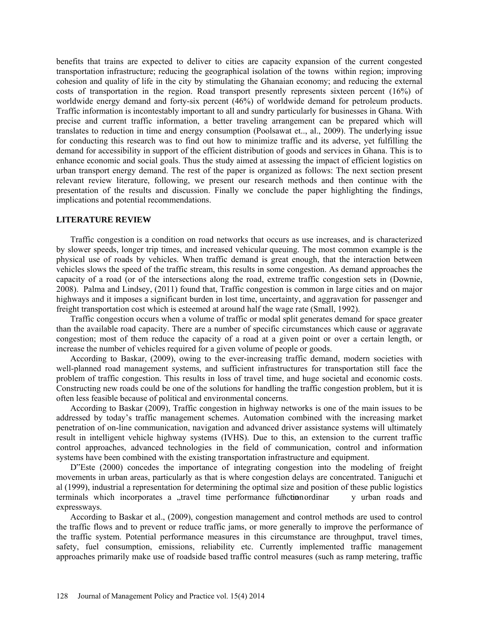benefits that trains are expected to deliver to cities are capacity expansion of the current congested transportation infrastructure; reducing the geographical isolation of the towns within region; improving cohesion and quality of life in the city by stimulating the Ghanaian economy; and reducing the external costs of transportation in the region. Road transport presently represents sixteen percent (16%) of worldwide energy demand and forty-six percent (46%) of worldwide demand for petroleum products. Traffic information is incontestably important to all and sundry particularly for businesses in Ghana. With precise and current traffic information, a better traveling arrangement can be prepared which will translates to reduction in time and energy consumption (Poolsawat et.., al., 2009). The underlying issue for conducting this research was to find out how to minimize traffic and its adverse, yet fulfilling the demand for accessibility in support of the efficient distribution of goods and services in Ghana. This is to enhance economic and social goals. Thus the study aimed at assessing the impact of efficient logistics on urban transport energy demand. The rest of the paper is organized as follows: The next section present relevant review literature, following, we present our research methods and then continue with the presentation of the results and discussion. Finally we conclude the paper highlighting the findings, implications and potential recommendations.

# **LITERATURE REVIEW**

Traffic congestion is a condition on road networks that occurs as use increases, and is characterized by slower speeds, longer trip times, and increased vehicular [queuing.](http://en.wikipedia.org/wiki/Queueing_theory) The most common example is the physical use of roads by vehicles. When traffic demand is great enough, that the interaction between vehicles slows the speed of the traffic stream, this results in some congestion. As demand approaches the capacity of a road (or of the intersections along the road, extreme traffic congestion sets in (Downie, 2008). Palma and Lindsey, (2011) found that, Traffic congestion is common in large cities and on major highways and it imposes a significant burden in lost time, uncertainty, and aggravation for passenger and freight transportation cost which is esteemed at around half the wage rate (Small, 1992).

Traffic congestion occurs when a volume of traffic or [modal split](http://en.wikipedia.org/wiki/Mode_choice) generates demand for space greater than the available road capacity. There are a number of specific circumstances which cause or aggravate congestion; most of them reduce the capacity of a road at a given point or over a certain length, or increase the number of vehicles required for a given volume of people or goods.

According to Baskar, (2009), owing to the ever-increasing traffic demand, modern societies with well-planned road management systems, and sufficient infrastructures for transportation still face the problem of traffic congestion. This results in loss of travel time, and huge societal and economic costs. Constructing new roads could be one of the solutions for handling the traffic congestion problem, but it is often less feasible because of political and environmental concerns.

According to Baskar (2009), Traffic congestion in highway networks is one of the main issues to be addressed by today's traffic management schemes. Automation combined with the increasing market penetration of on-line communication, navigation and advanced driver assistance systems will ultimately result in intelligent vehicle highway systems (IVHS). Due to this, an extension to the current traffic control approaches, advanced technologies in the field of communication, control and information systems have been combined with the existing transportation infrastructure and equipment.

D'Este (2000) concedes the importance of integrating congestion into the modeling of freight movements in urban areas, particularly as that is where congestion delays are concentrated. Taniguchi et al (1999), industrial a representation for determining the optimal size and position of these public logistics terminals which incorporates a "travel time performance function ordinar y urban roads and expressways.

According to Baskar et al., (2009), congestion management and control methods are used to control the traffic flows and to prevent or reduce traffic jams, or more generally to improve the performance of the traffic system. Potential performance measures in this circumstance are throughput, travel times, safety, fuel consumption, emissions, reliability etc. Currently implemented traffic management approaches primarily make use of roadside based traffic control measures (such as ramp metering, traffic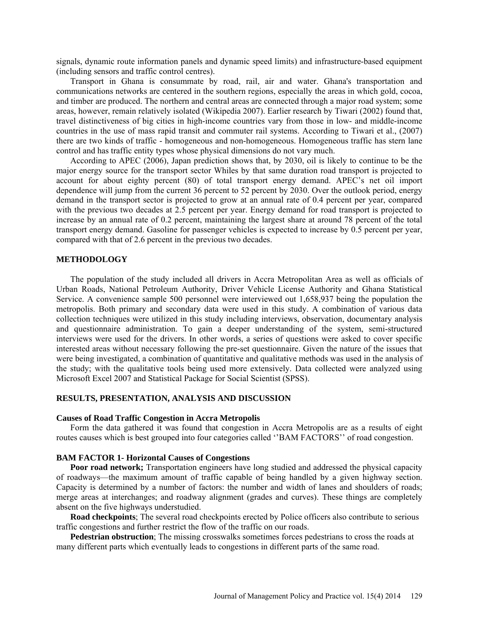signals, dynamic route information panels and dynamic speed limits) and infrastructure-based equipment (including sensors and traffic control centres).

Transport in Ghana is consummate by road, rail, air and water. Ghana's transportation and communications networks are centered in the southern regions, especially the areas in which gold, cocoa, and timber are produced. The northern and central areas are connected through a major road system; some areas, however, remain relatively isolated (Wikipedia 2007). Earlier research by Tiwari (2002) found that, travel distinctiveness of big cities in high-income countries vary from those in low- and middle-income countries in the use of mass rapid transit and commuter rail systems. According to Tiwari et al., (2007) there are two kinds of traffic - homogeneous and non-homogeneous. Homogeneous traffic has stern lane control and has traffic entity types whose physical dimensions do not vary much.

According to APEC (2006), Japan prediction shows that, by 2030, oil is likely to continue to be the major energy source for the transport sector Whiles by that same duration road transport is projected to account for about eighty percent (80) of total transport energy demand. APEC's net oil import dependence will jump from the current 36 percent to 52 percent by 2030. Over the outlook period, energy demand in the transport sector is projected to grow at an annual rate of 0.4 percent per year, compared with the previous two decades at 2.5 percent per year. Energy demand for road transport is projected to increase by an annual rate of 0.2 percent, maintaining the largest share at around 78 percent of the total transport energy demand. Gasoline for passenger vehicles is expected to increase by 0.5 percent per year, compared with that of 2.6 percent in the previous two decades.

# **METHODOLOGY**

The population of the study included all drivers in Accra Metropolitan Area as well as officials of Urban Roads, National Petroleum Authority, Driver Vehicle License Authority and Ghana Statistical Service. A convenience sample 500 personnel were interviewed out 1,658,937 being the population the metropolis. Both primary and secondary data were used in this study. A combination of various data collection techniques were utilized in this study including interviews, observation, documentary analysis and questionnaire administration. To gain a deeper understanding of the system, semi-structured interviews were used for the drivers. In other words, a series of questions were asked to cover specific interested areas without necessary following the pre-set questionnaire. Given the nature of the issues that were being investigated, a combination of quantitative and qualitative methods was used in the analysis of the study; with the qualitative tools being used more extensively. Data collected were analyzed using Microsoft Excel 2007 and Statistical Package for Social Scientist (SPSS).

### **RESULTS, PRESENTATION, ANALYSIS AND DISCUSSION**

### **Causes of Road Traffic Congestion in Accra Metropolis**

Form the data gathered it was found that congestion in Accra Metropolis are as a results of eight routes causes which is best grouped into four categories called ''BAM FACTORS'' of road congestion.

### **BAM FACTOR 1- Horizontal Causes of Congestions**

**Poor road network;** Transportation engineers have long studied and addressed the physical capacity of roadways—the maximum amount of traffic capable of being handled by a given highway section. Capacity is determined by a number of factors: the number and width of lanes and shoulders of roads; merge areas at interchanges; and roadway alignment (grades and curves). These things are completely absent on the five highways understudied.

**Road checkpoints**; The several road checkpoints erected by Police officers also contribute to serious traffic congestions and further restrict the flow of the traffic on our roads.

**Pedestrian obstruction**; The missing crosswalks sometimes forces pedestrians to cross the roads at many different parts which eventually leads to congestions in different parts of the same road.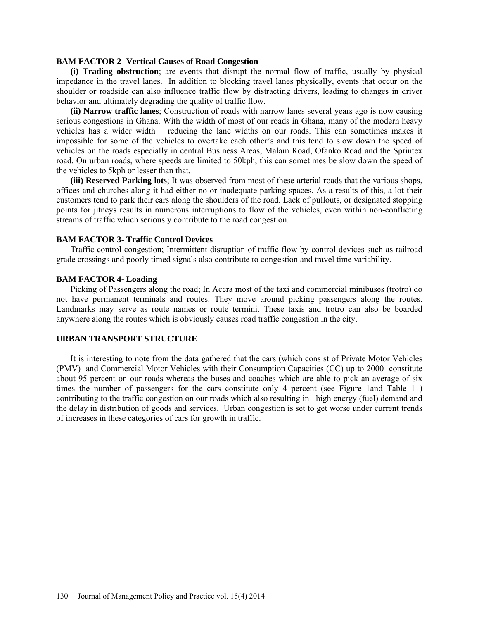### **BAM FACTOR 2- Vertical Causes of Road Congestion**

**(i) Trading obstruction**; are events that disrupt the normal flow of traffic, usually by physical impedance in the travel lanes. In addition to blocking travel lanes physically, events that occur on the shoulder or roadside can also influence traffic flow by distracting drivers, leading to changes in driver behavior and ultimately degrading the quality of traffic flow.

**(ii) Narrow traffic lanes**; Construction of roads with narrow lanes several years ago is now causing serious congestions in Ghana. With the width of most of our roads in Ghana, many of the modern heavy vehicles has a wider width reducing the lane widths on our roads. This can sometimes makes it impossible for some of the vehicles to overtake each other's and this tend to slow down the speed of vehicles on the roads especially in central Business Areas, Malam Road, Ofanko Road and the Sprintex road. On urban roads, where speeds are limited to 50kph, this can sometimes be slow down the speed of the vehicles to 5kph or lesser than that.

**(iii) Reserved Parking lots**; It was observed from most of these arterial roads that the various shops, offices and churches along it had either no or inadequate parking spaces. As a results of this, a lot their customers tend to park their cars along the shoulders of the road. Lack of pullouts, or designated stopping points for jitneys results in numerous interruptions to flow of the vehicles, even within non-conflicting streams of traffic which seriously contribute to the road congestion.

### **BAM FACTOR 3- Traffic Control Devices**

Traffic control congestion; Intermittent disruption of traffic flow by control devices such as railroad grade crossings and poorly timed signals also contribute to congestion and travel time variability.

### **BAM FACTOR 4- Loading**

Picking of Passengers along the road; In Accra most of the taxi and commercial minibuses (trotro) do not have permanent terminals and routes. They move around picking passengers along the routes. Landmarks may serve as route names or route termini. These taxis and trotro can also be boarded anywhere along the routes which is obviously causes road traffic congestion in the city.

### **URBAN TRANSPORT STRUCTURE**

It is interesting to note from the data gathered that the cars (which consist of Private Motor Vehicles (PMV) and Commercial Motor Vehicles with their Consumption Capacities (CC) up to 2000 constitute about 95 percent on our roads whereas the buses and coaches which are able to pick an average of six times the number of passengers for the cars constitute only 4 percent (see Figure 1and Table 1) contributing to the traffic congestion on our roads which also resulting in high energy (fuel) demand and the delay in distribution of goods and services. Urban congestion is set to get worse under current trends of increases in these categories of cars for growth in traffic.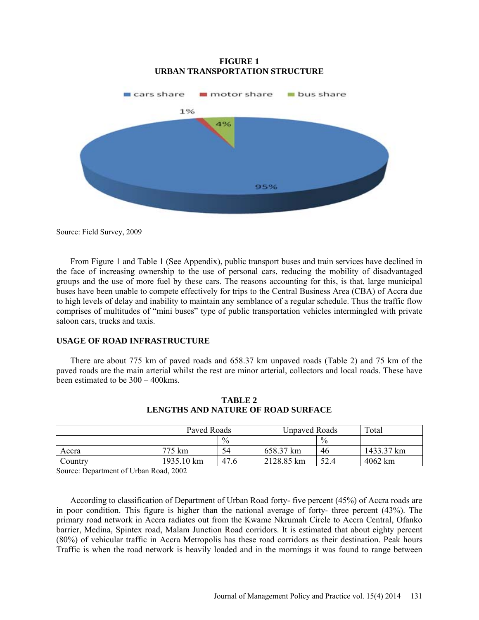# **FIGURE 1 URBAN TRANSPORTATION STRUCTURE**



Source: Field Survey, 2009

From Figure 1 and Table 1 (See Appendix), public transport buses and train services have declined in the face of increasing ownership to the use of personal cars, reducing the mobility of disadvantaged groups and the use of more fuel by these cars. The reasons accounting for this, is that, large municipal buses have been unable to compete effectively for trips to the Central Business Area (CBA) of Accra due to high levels of delay and inability to maintain any semblance of a regular schedule. Thus the traffic flow comprises of multitudes of "mini buses" type of public transportation vehicles intermingled with private saloon cars, trucks and taxis.

### **USAGE OF ROAD INFRASTRUCTURE**

There are about 775 km of paved roads and 658.37 km unpaved roads (Table 2) and 75 km of the paved roads are the main arterial whilst the rest are minor arterial, collectors and local roads. These have been estimated to be 300 – 400kms.

|         | Paved Roads |      | Unpaved Roads |               | Total      |
|---------|-------------|------|---------------|---------------|------------|
|         |             | $\%$ |               | $\frac{0}{0}$ |            |
| Accra   | 775 km      | 54   | 658.37 km     | 46            | 1433.37 km |
| Country | 1935.10 km  | 47.6 | 2128.85 km    | 52.4          | 4062 km    |

**TABLE 2 LENGTHS AND NATURE OF ROAD SURFACE**

Source: Department of Urban Road, 2002

According to classification of Department of Urban Road forty- five percent (45%) of Accra roads are in poor condition. This figure is higher than the national average of forty- three percent (43%). The primary road network in Accra radiates out from the Kwame Nkrumah Circle to Accra Central, Ofanko barrier, Medina, Spintex road, Malam Junction Road corridors. It is estimated that about eighty percent (80%) of vehicular traffic in Accra Metropolis has these road corridors as their destination. Peak hours Traffic is when the road network is heavily loaded and in the mornings it was found to range between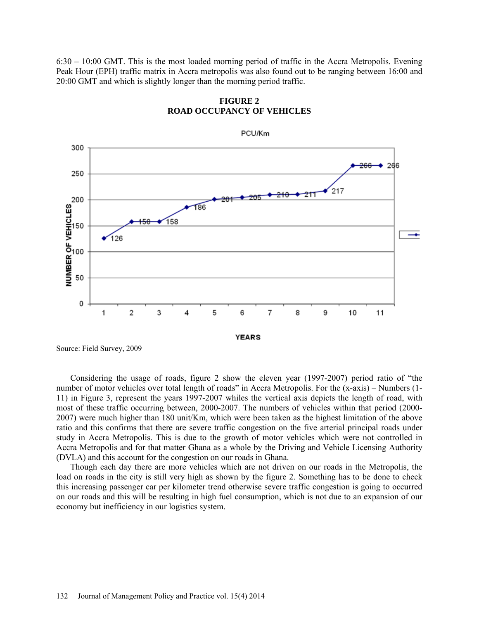6:30 – 10:00 GMT. This is the most loaded morning period of traffic in the Accra Metropolis. Evening Peak Hour (EPH) traffic matrix in Accra metropolis was also found out to be ranging between 16:00 and 20:00 GMT and which is slightly longer than the morning period traffic.



# **FIGURE 2 ROAD OCCUPANCY OF VEHICLES**

Source: Field Survey, 2009

Considering the usage of roads, figure 2 show the eleven year (1997-2007) period ratio of "the number of motor vehicles over total length of roads" in Accra Metropolis. For the (x-axis) – Numbers (1- 11) in Figure 3, represent the years 1997-2007 whiles the vertical axis depicts the length of road, with most of these traffic occurring between, 2000-2007. The numbers of vehicles within that period (2000- 2007) were much higher than 180 unit/Km, which were been taken as the highest limitation of the above ratio and this confirms that there are severe traffic congestion on the five arterial principal roads under study in Accra Metropolis. This is due to the growth of motor vehicles which were not controlled in Accra Metropolis and for that matter Ghana as a whole by the Driving and Vehicle Licensing Authority (DVLA) and this account for the congestion on our roads in Ghana.

Though each day there are more vehicles which are not driven on our roads in the Metropolis, the load on roads in the city is still very high as shown by the figure 2. Something has to be done to check this increasing passenger car per kilometer trend otherwise severe traffic congestion is going to occurred on our roads and this will be resulting in high fuel consumption, which is not due to an expansion of our economy but inefficiency in our logistics system.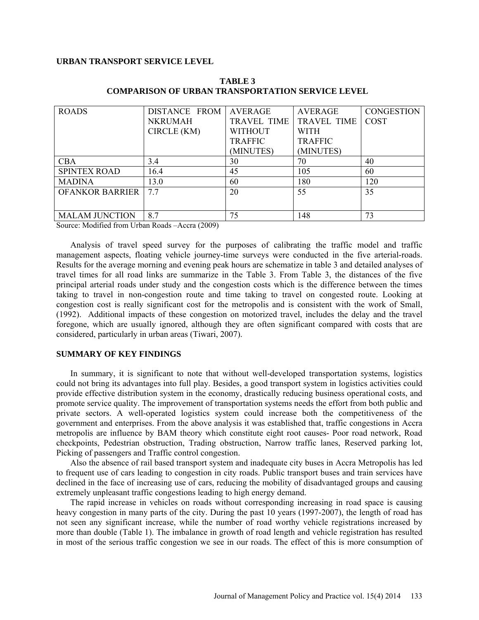### **URBAN TRANSPORT SERVICE LEVEL**

| <b>ROADS</b>           | DISTANCE FROM  | <b>AVERAGE</b>     | <b>AVERAGE</b>     | <b>CONGESTION</b> |
|------------------------|----------------|--------------------|--------------------|-------------------|
|                        | <b>NKRUMAH</b> | <b>TRAVEL TIME</b> | <b>TRAVEL TIME</b> | <b>COST</b>       |
|                        | CIRCLE (KM)    | <b>WITHOUT</b>     | <b>WITH</b>        |                   |
|                        |                | <b>TRAFFIC</b>     | <b>TRAFFIC</b>     |                   |
|                        |                | (MINUTES)          | (MINUTES)          |                   |
| <b>CBA</b>             | 3.4            | 30                 | 70                 | 40                |
| <b>SPINTEX ROAD</b>    | 16.4           | 45                 | 105                | 60                |
| <b>MADINA</b>          | 13.0           | 60                 | 180                | 120               |
| <b>OFANKOR BARRIER</b> | 7.7            | 20                 | 55                 | 35                |
|                        |                |                    |                    |                   |
| <b>MALAM JUNCTION</b>  | 8.7            | 75                 | 148                | 73                |

# **TABLE 3 COMPARISON OF URBAN TRANSPORTATION SERVICE LEVEL**

Source: Modified from Urban Roads –Accra (2009)

Analysis of travel speed survey for the purposes of calibrating the traffic model and traffic management aspects, floating vehicle journey-time surveys were conducted in the five arterial-roads. Results for the average morning and evening peak hours are schematize in table 3 and detailed analyses of travel times for all road links are summarize in the Table 3. From Table 3, the distances of the five principal arterial roads under study and the congestion costs which is the difference between the times taking to travel in non-congestion route and time taking to travel on congested route. Looking at congestion cost is really significant cost for the metropolis and is consistent with the work of Small, (1992). Additional impacts of these congestion on motorized travel, includes the delay and the travel foregone, which are usually ignored, although they are often significant compared with costs that are considered, particularly in urban areas (Tiwari, 2007).

### **SUMMARY OF KEY FINDINGS**

In summary, it is significant to note that without well-developed transportation systems, logistics could not bring its advantages into full play. Besides, a good transport system in logistics activities could provide effective distribution system in the economy, drastically reducing business operational costs, and promote service quality. The improvement of transportation systems needs the effort from both public and private sectors. A well-operated logistics system could increase both the competitiveness of the government and enterprises. From the above analysis it was established that, traffic congestions in Accra metropolis are influence by BAM theory which constitute eight root causes- Poor road network, Road checkpoints, Pedestrian obstruction, Trading obstruction, Narrow traffic lanes, Reserved parking lot, Picking of passengers and Traffic control congestion.

Also the absence of rail based transport system and inadequate city buses in Accra Metropolis has led to frequent use of cars leading to congestion in city roads. Public transport buses and train services have declined in the face of increasing use of cars, reducing the mobility of disadvantaged groups and causing extremely unpleasant traffic congestions leading to high energy demand.

The rapid increase in vehicles on roads without corresponding increasing in road space is causing heavy congestion in many parts of the city. During the past 10 years (1997-2007), the length of road has not seen any significant increase, while the number of road worthy vehicle registrations increased by more than double (Table 1). The imbalance in growth of road length and vehicle registration has resulted in most of the serious traffic congestion we see in our roads. The effect of this is more consumption of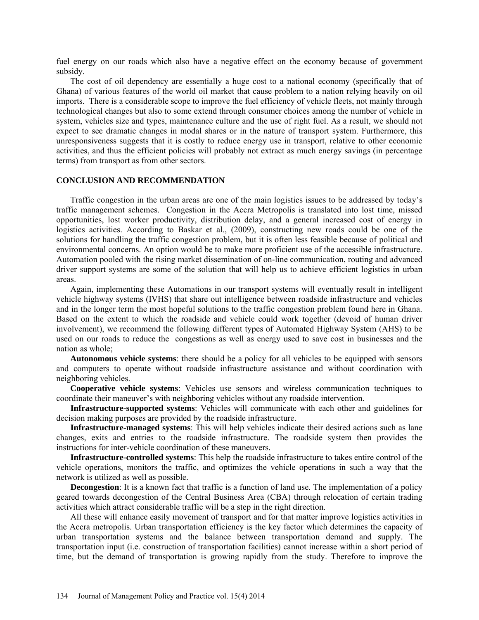fuel energy on our roads which also have a negative effect on the economy because of government subsidy.

The cost of oil dependency are essentially a huge cost to a national economy (specifically that of Ghana) of various features of the world oil market that cause problem to a nation relying heavily on oil imports. There is a considerable scope to improve the fuel efficiency of vehicle fleets, not mainly through technological changes but also to some extend through consumer choices among the number of vehicle in system, vehicles size and types, maintenance culture and the use of right fuel. As a result, we should not expect to see dramatic changes in modal shares or in the nature of transport system. Furthermore, this unresponsiveness suggests that it is costly to reduce energy use in transport, relative to other economic activities, and thus the efficient policies will probably not extract as much energy savings (in percentage terms) from transport as from other sectors.

# **CONCLUSION AND RECOMMENDATION**

Traffic congestion in the urban areas are one of the main logistics issues to be addressed by today's traffic management schemes. Congestion in the Accra Metropolis is translated into lost time, missed opportunities, lost worker productivity, distribution delay, and a general increased cost of energy in logistics activities. According to Baskar et al., (2009), constructing new roads could be one of the solutions for handling the traffic congestion problem, but it is often less feasible because of political and environmental concerns. An option would be to make more proficient use of the accessible infrastructure. Automation pooled with the rising market dissemination of on-line communication, routing and advanced driver support systems are some of the solution that will help us to achieve efficient logistics in urban areas.

Again, implementing these Automations in our transport systems will eventually result in intelligent vehicle highway systems (IVHS) that share out intelligence between roadside infrastructure and vehicles and in the longer term the most hopeful solutions to the traffic congestion problem found here in Ghana. Based on the extent to which the roadside and vehicle could work together (devoid of human driver involvement), we recommend the following different types of Automated Highway System (AHS) to be used on our roads to reduce the congestions as well as energy used to save cost in businesses and the nation as whole;

**Autonomous vehicle systems**: there should be a policy for all vehicles to be equipped with sensors and computers to operate without roadside infrastructure assistance and without coordination with neighboring vehicles.

**Cooperative vehicle systems**: Vehicles use sensors and wireless communication techniques to coordinate their maneuver's with neighboring vehicles without any roadside intervention.

**Infrastructure-supported systems**: Vehicles will communicate with each other and guidelines for decision making purposes are provided by the roadside infrastructure.

**Infrastructure-managed systems**: This will help vehicles indicate their desired actions such as lane changes, exits and entries to the roadside infrastructure. The roadside system then provides the instructions for inter-vehicle coordination of these maneuvers.

**Infrastructure-controlled systems**: This help the roadside infrastructure to takes entire control of the vehicle operations, monitors the traffic, and optimizes the vehicle operations in such a way that the network is utilized as well as possible.

**Decongestion**: It is a known fact that traffic is a function of land use. The implementation of a policy geared towards decongestion of the Central Business Area (CBA) through relocation of certain trading activities which attract considerable traffic will be a step in the right direction.

All these will enhance easily movement of transport and for that matter improve logistics activities in the Accra metropolis. Urban transportation efficiency is the key factor which determines the capacity of urban transportation systems and the balance between transportation demand and supply. The transportation input (i.e. construction of transportation facilities) cannot increase within a short period of time, but the demand of transportation is growing rapidly from the study. Therefore to improve the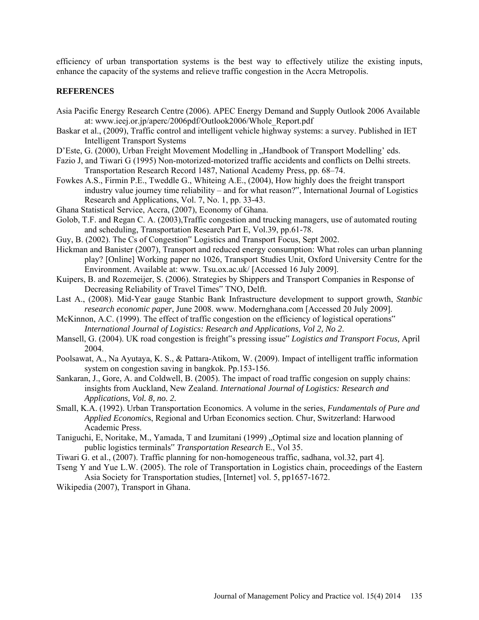efficiency of urban transportation systems is the best way to effectively utilize the existing inputs, enhance the capacity of the systems and relieve traffic congestion in the Accra Metropolis.

### **REFERENCES**

- Asia Pacific Energy Research Centre (2006). APEC Energy Demand and Supply Outlook 2006 Available at: [www.ieej.or.jp/aperc/2006pdf/Outlook2006/Whole\\_Report.pdf](http://www.ieej.or.jp/aperc/2006pdf/Outlook2006/Whole_Report.pdf)
- Baskar et al., (2009), Traffic control and intelligent vehicle highway systems: a survey. Published in IET Intelligent Transport Systems
- D'Este, G. (2000), Urban Freight Movement Modelling in "Handbook of Transport Modelling' eds.
- Fazio J, and Tiwari G (1995) Non-motorized-motorized traffic accidents and conflicts on Delhi streets. Transportation Research Record 1487, National Academy Press, pp. 68–74.
- Fowkes A.S., Firmin P.E., Tweddle G., Whiteing A.E., (2004), How highly does the freight transport industry value journey time reliability – and for what reason?", International Journal of Logistics Research and Applications, Vol. 7, No. 1, pp. 33-43.
- Ghana Statistical Service, Accra, (2007), Economy of Ghana.
- Golob, T.F. and Regan C. A. (2003),Traffic congestion and trucking managers, use of automated routing and scheduling, Transportation Research Part E, Vol.39, pp.61-78.
- Guy, B. (2002). The Cs of Congestion" Logistics and Transport Focus, Sept 2002.
- Hickman and Banister (2007), Transport and reduced energy consumption: What roles can urban planning play? [Online] Working paper no 1026, Transport Studies Unit, Oxford University Centre for the Environment. Available at: www. Tsu.ox.ac.uk/ [Accessed 16 July 2009].
- Kuipers, B. and Rozemeijer, S. (2006). Strategies by Shippers and Transport Companies in Response of Decreasing Reliability of Travel Times" TNO, Delft.
- Last A., (2008). Mid-Year gauge Stanbic Bank Infrastructure development to support growth, *Stanbic research economic paper*, June 2008. www. Modernghana.com [Accessed 20 July 2009].
- McKinnon, A.C. (1999). The effect of traffic congestion on the efficiency of logistical operations" *International Journal of Logistics: Research and Applications, Vol 2, No 2*.
- Mansell, G. (2004). UK road congestion is freight"s pressing issue" *Logistics and Transport Focus,* April 2004.
- Poolsawat, A., Na Ayutaya, K. S., & Pattara-Atikom, W. (2009). Impact of intelligent traffic information system on congestion saving in bangkok. Pp.153-156.
- Sankaran, J., Gore, A. and Coldwell, B. (2005). The impact of road traffic congesion on supply chains: insights from Auckland, New Zealand. *International Journal of Logistics: Research and Applications, Vol. 8, no. 2.*
- Small, K.A. (1992). Urban Transportation Economics. A volume in the series, *Fundamentals of Pure and Applied Economic*s, Regional and Urban Economics section. Chur, Switzerland: Harwood Academic Press.
- Taniguchi, E, Noritake, M., Yamada, T and Izumitani (1999) "Optimal size and location planning of public logistics terminals" *Transportation Research* E., Vol 35.
- Tiwari G. et al., (2007). Traffic planning for non-homogeneous traffic, sadhana, vol.32, part 4].
- Tseng Y and Yue L.W. (2005). The role of Transportation in Logistics chain, proceedings of the Eastern Asia Society for Transportation studies, [Internet] vol. 5, pp1657-1672.

Wikipedia (2007), Transport in Ghana.